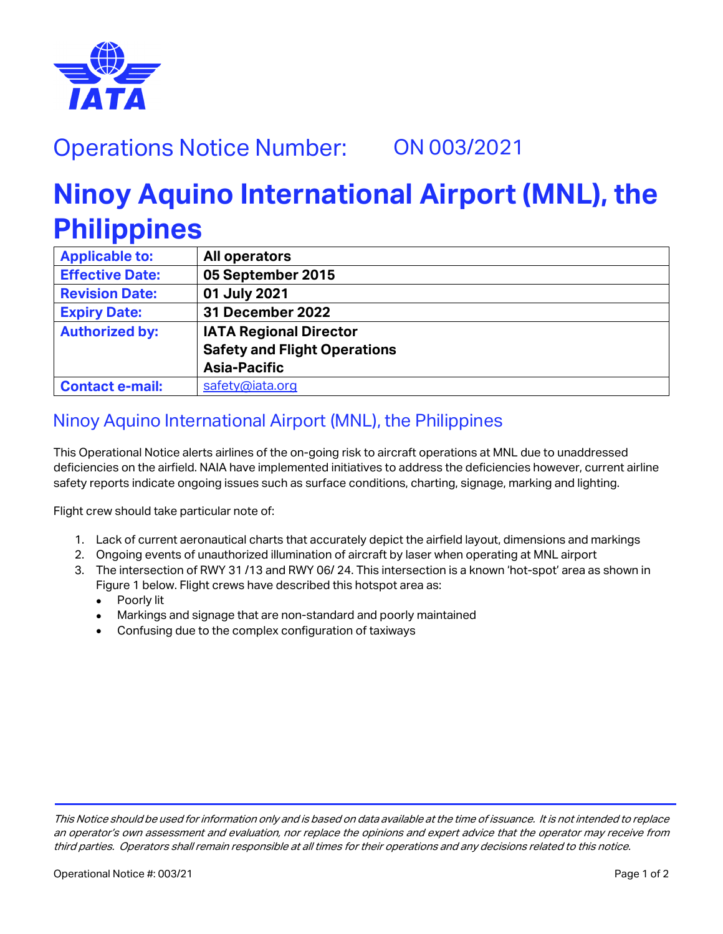

## Operations Notice Number: ON 003/2021

## **Ninoy Aquino International Airport (MNL), the Philippines**

| <b>Applicable to:</b>  | All operators                       |
|------------------------|-------------------------------------|
| <b>Effective Date:</b> | 05 September 2015                   |
| <b>Revision Date:</b>  | 01 July 2021                        |
| <b>Expiry Date:</b>    | <b>31 December 2022</b>             |
| <b>Authorized by:</b>  | <b>IATA Regional Director</b>       |
|                        | <b>Safety and Flight Operations</b> |
|                        | <b>Asia-Pacific</b>                 |
| <b>Contact e-mail:</b> | safety@iata.org                     |

## Ninoy Aquino International Airport (MNL), the Philippines

This Operational Notice alerts airlines of the on-going risk to aircraft operations at MNL due to unaddressed deficiencies on the airfield. NAIA have implemented initiatives to address the deficiencies however, current airline safety reports indicate ongoing issues such as surface conditions, charting, signage, marking and lighting.

Flight crew should take particular note of:

- 1. Lack of current aeronautical charts that accurately depict the airfield layout, dimensions and markings
- 2. Ongoing events of unauthorized illumination of aircraft by laser when operating at MNL airport
- 3. The intersection of RWY 31 /13 and RWY 06/ 24. This intersection is a known 'hot-spot' area as shown in Figure 1 below. Flight crews have described this hotspot area as:
	- Poorly lit
	- Markings and signage that are non-standard and poorly maintained
	- Confusing due to the complex configuration of taxiways

This Notice should be used for information only and is based on data available at the time of issuance. It is not intended to replace an operator's own assessment and evaluation, nor replace the opinions and expert advice that the operator may receive from third parties. Operators shall remain responsible at all times for their operations and any decisions related to this notice.